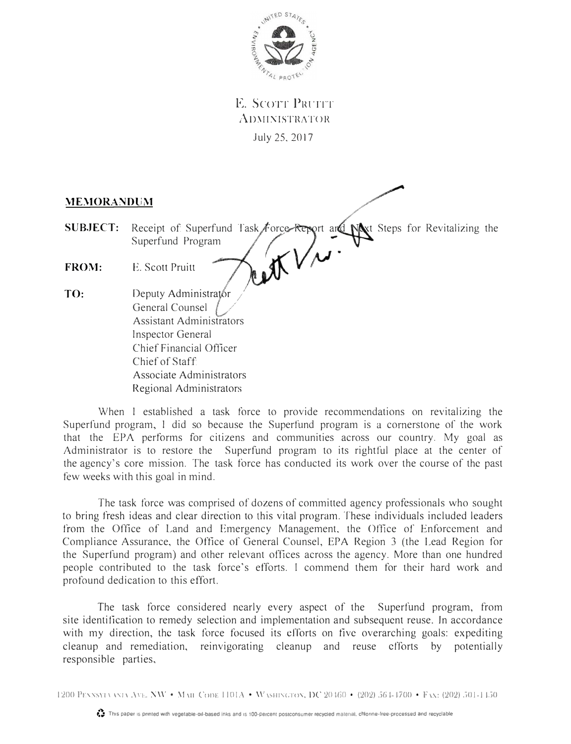

 $E.$  **Scott Pruit** ADMINISTRATOR July 25, 2017

## **MEMORANDUM**

- **SUBJECT:** Receipt of Superfund Task Force Report and Next Steps for Revitalizing the Superfund Program WW
- **FROM:**  E. Scott Pruitt
- **TO:**  Deputy Administrator General Counsel Assistant Administrators Inspector General Chief Financial Officer Chief of Staff Associate Administrators Regional Administrators

When I established a task force to provide recommendations on revitalizing the Superfund program, I did so because the Superfund program is a cornerstone of the work that the EPA performs for citizens and communities across our country. My goal as Administrator is to restore the Superfund program to its rightful place at the center of the agency's core mission. The task force has conducted its work over the course of the past few weeks with this goal in mind.

The task force was comprised of dozens of committed agency professionals who sought to bring fresh ideas and clear direction to this vital program. These individuals included leaders from the Office of Land and Emergency Management, the Office of Enforcement and Compliance Assurance, the Office of General Counsel, EPA Region 3 (the Lead Region for the Superfund program) and other relevant offices across the agency. More than one hundred people contributed to the task force's efforts. I commend them for their hard work and profound dedication to this effort.

The task force considered nearly every aspect of the Superfund program, from site identification to remedy selection and implementation and subsequent reuse. In accordance with my direction, the task force focused its efforts on five overarching goals: expediting cleanup and remediation, reinvigorating cleanup and reuse efforts by potentially responsible parties,

1200 PENNSYLVANA AVE, NW • MAIL CODE 1101A • WASHINGTON, DC 20460 • (202) 564-4700 • FAN: (202) 501-1450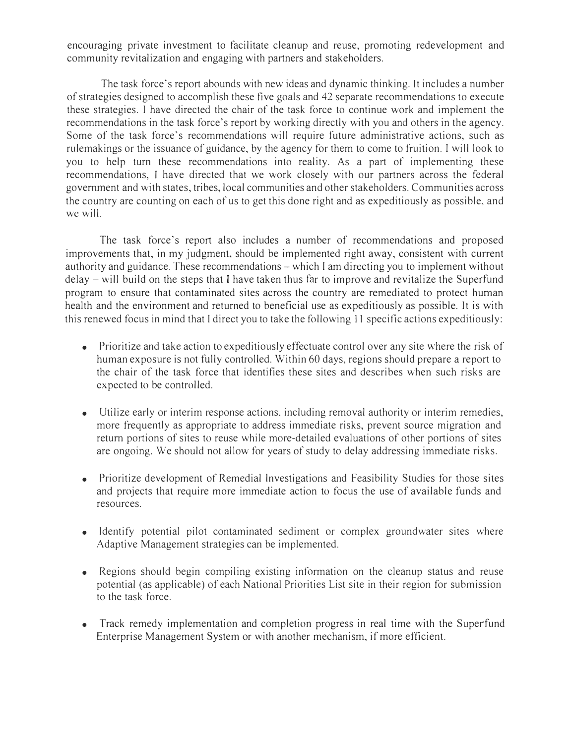encouraging private investment to facilitate cleanup and reuse, promoting redevelopment and community revitalization and engaging with partners and stakeholders.

The task force's report abounds with new ideas and dynamic thinking. ft includes a number of strategies designed to accomplish these five goals and 42 separate recommendations to execute these strategies. I have directed the chair of the task force to continue work and implement the recommendations in the task force's report by working directly with you and others in the agency. Some of the task force's recommendations will require future administrative actions, such as rulemakings or the issuance of guidance, by the agency for them to come to fruition. I will look to you to help turn these recommendations into reality. As a part of implementing these recommendations, I have directed that we work closely with our partners across the federal government and with states, tribes, local communities and other stakeholders. Communities across the country are counting on each of us to get this done right and as expeditiously as possible, and we will.

The task force's report also includes a number of recommendations and proposed improvements that, in my judgment, should be implemented right away, consistent with current authority and guidance. These recommendations – which I am directing you to implement without  $delay - will build on the steps that I have taken thus far to improve and revitalize the Superfund$ program to ensure that contaminated sites across the country are remediated to protect human health and the environment and returned to beneficial use as expeditiously as possible. It is with this renewed focus in mind that I direct you to take the following 11 specific actions expeditiously:

- Prioritize and take action to expeditiously effectuate control over any site where the risk of human exposure is not fully controlled. Within 60 days, regions should prepare a report to the chair of the task force that identifies these sites and describes when such risks are expected to be controlled.
- Utilize early or interim response actions, including removal authority or interim remedies, more frequently as appropriate to address immediate risks, prevent source migration and return portions of sites to reuse while more-detailed evaluations of other portions of sites are ongoing. We should not allow for years of study to delay addressing immediate risks.
- Prioritize development of Remedial Investigations and Feasibility Studies for those sites and projects that require more immediate action to focus the use of available funds and resources.
- Identify potential pilot contaminated sediment or complex groundwater sites where Adaptive Management strategies can be implemented.
- Regions should begin compiling existing information on the cleanup status and reuse potential (as applicable) of each National Priorities List site in their region for submission to the task force.
- Track remedy implementation and completion progress in real time with the Superfund Enterprise Management System or with another mechanism, if more efficient.